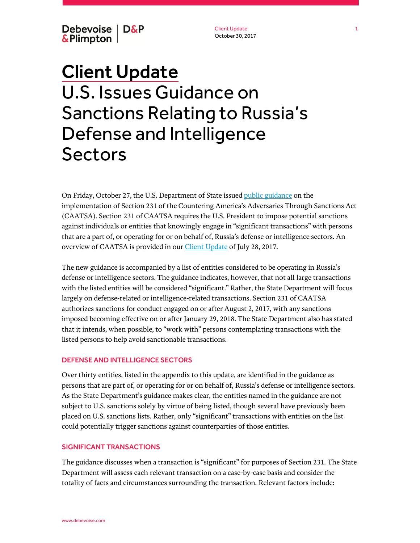Debevoise | D&P & Plimpton

Client Update October 30, 2017

# Client Update U.S. Issues Guidance on Sanctions Relating to Russia's Defense and Intelligence Sectors

On Friday, October 27, the U.S. Department of State issued [public guidance](https://www.state.gov/t/isn/caatsa/index.htm) on the implementation of Section 231 of the Countering America's Adversaries Through Sanctions Act (CAATSA). Section 231 of CAATSA requires the U.S. President to impose potential sanctions against individuals or entities that knowingly engage in "significant transactions" with persons that are a part of, or operating for or on behalf of, Russia's defense or intelligence sectors. An overview of CAATSA is provided in our *Client Update* of July 28, 2017.

The new guidance is accompanied by a list of entities considered to be operating in Russia's defense or intelligence sectors. The guidance indicates, however, that not all large transactions with the listed entities will be considered "significant." Rather, the State Department will focus largely on defense-related or intelligence-related transactions. Section 231 of CAATSA authorizes sanctions for conduct engaged on or after August 2, 2017, with any sanctions imposed becoming effective on or after January 29, 2018. The State Department also has stated that it intends, when possible, to "work with" persons contemplating transactions with the listed persons to help avoid sanctionable transactions.

# DEFENSE AND INTELLIGENCE SECTORS

Over thirty entities, listed in the appendix to this update, are identified in the guidance as persons that are part of, or operating for or on behalf of, Russia's defense or intelligence sectors. As the State Department's guidance makes clear, the entities named in the guidance are not subject to U.S. sanctions solely by virtue of being listed, though several have previously been placed on U.S. sanctions lists. Rather, only "significant" transactions with entities on the list could potentially trigger sanctions against counterparties of those entities.

#### SIGNIFICANT TRANSACTIONS

The guidance discusses when a transaction is "significant" for purposes of Section 231. The State Department will assess each relevant transaction on a case-by-case basis and consider the totality of facts and circumstances surrounding the transaction. Relevant factors include: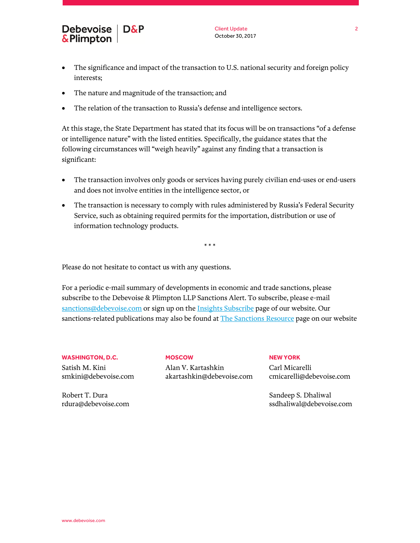

- The significance and impact of the transaction to U.S. national security and foreign policy interests;
- The nature and magnitude of the transaction; and
- The relation of the transaction to Russia's defense and intelligence sectors.

At this stage, the State Department has stated that its focus will be on transactions "of a defense or intelligence nature" with the listed entities. Specifically, the guidance states that the following circumstances will "weigh heavily" against any finding that a transaction is significant:

- The transaction involves only goods or services having purely civilian end-uses or end-users and does not involve entities in the intelligence sector, or
- The transaction is necessary to comply with rules administered by Russia's Federal Security Service, such as obtaining required permits for the importation, distribution or use of information technology products.

\* \* \*

Please do not hesitate to contact us with any questions.

For a periodic e-mail summary of developments in economic and trade sanctions, please subscribe to the Debevoise & Plimpton LLP Sanctions Alert. To subscribe, please e-mail [sanctions@debevoise.com](mailto:sanctions@debevoise.com?subject=Please%20subscribe%20me%20to%20the%20Sanctions%20Alert) or sign up on th[e Insights Subscribe](https://www.debevoise.com/insights/insights-subscribe-page) page of our website. Our sanctions-related publications may also be found at [The Sanctions Resource](https://www.debevoise.com/news/the-sanctions-resource) page on our website

**WASHINGTON, D.C.**

Robert T. Dura

Satish M. Kini smkini@debevoise.com

rdura@debevoise.com

Alan V. Kartashkin akartashkin@debevoise.com

**MOSCOW**

**NEW YORK** Carl Micarelli cmicarelli@debevoise.com

Sandeep S. Dhaliwal ssdhaliwal@debevoise.com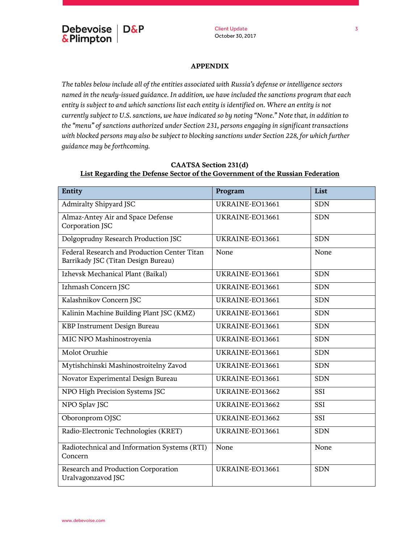# **APPENDIX**

*The tables below include all of the entities associated with Russia's defense or intelligence sectors named in the newly-issued guidance. In addition, we have included the sanctions program that each entity is subject to and which sanctions list each entity is identified on. Where an entity is not currently subject to U.S. sanctions, we have indicated so by noting "None." Note that, in addition to the "menu" of sanctions authorized under Section 231, persons engaging in significant transactions*  with blocked persons may also be subject to blocking sanctions under Section 228, for which further *guidance may be forthcoming.*

| Entity                                                                              | Program         | List       |
|-------------------------------------------------------------------------------------|-----------------|------------|
| Admiralty Shipyard JSC                                                              | UKRAINE-EO13661 | <b>SDN</b> |
| Almaz-Antey Air and Space Defense<br>Corporation JSC                                | UKRAINE-EO13661 | <b>SDN</b> |
| Dolgoprudny Research Production JSC                                                 | UKRAINE-EO13661 | <b>SDN</b> |
| Federal Research and Production Center Titan<br>Barrikady JSC (Titan Design Bureau) | None            | None       |
| Izhevsk Mechanical Plant (Baikal)                                                   | UKRAINE-EO13661 | <b>SDN</b> |
| Izhmash Concern JSC                                                                 | UKRAINE-EO13661 | <b>SDN</b> |
| Kalashnikov Concern JSC                                                             | UKRAINE-EO13661 | <b>SDN</b> |
| Kalinin Machine Building Plant JSC (KMZ)                                            | UKRAINE-EO13661 | <b>SDN</b> |
| KBP Instrument Design Bureau                                                        | UKRAINE-EO13661 | <b>SDN</b> |
| MIC NPO Mashinostroyenia                                                            | UKRAINE-EO13661 | <b>SDN</b> |
| Molot Oruzhie                                                                       | UKRAINE-EO13661 | <b>SDN</b> |
| Mytishchinski Mashinostroitelny Zavod                                               | UKRAINE-EO13661 | <b>SDN</b> |
| Novator Experimental Design Bureau                                                  | UKRAINE-EO13661 | <b>SDN</b> |
| NPO High Precision Systems JSC                                                      | UKRAINE-EO13662 | SSI        |
| NPO Splav JSC                                                                       | UKRAINE-EO13662 | SSI        |
| Oboronprom OJSC                                                                     | UKRAINE-EO13662 | SSI        |
| Radio-Electronic Technologies (KRET)                                                | UKRAINE-EO13661 | <b>SDN</b> |
| Radiotechnical and Information Systems (RTI)<br>Concern                             | None            | None       |
| Research and Production Corporation<br>Uralvagonzavod JSC                           | UKRAINE-EO13661 | <b>SDN</b> |

# **CAATSA Section 231(d) List Regarding the Defense Sector of the Government of the Russian Federation**